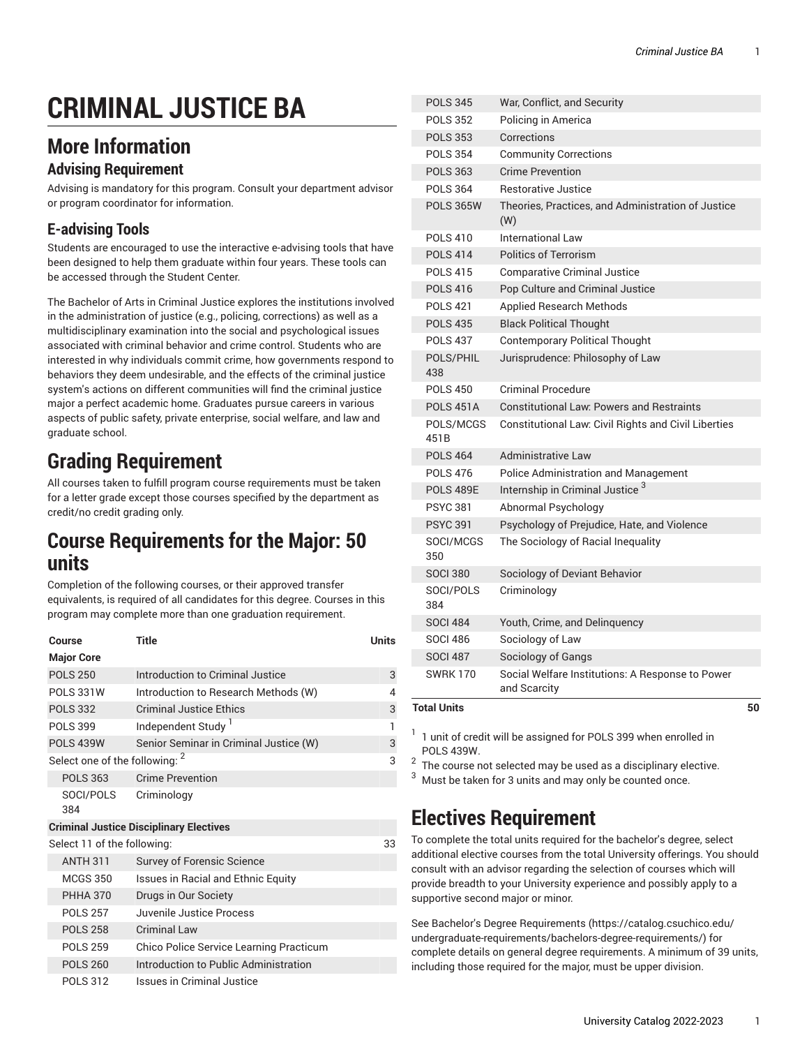# **CRIMINAL JUSTICE BA**

## **More Information**

#### **Advising Requirement**

Advising is mandatory for this program. Consult your department advisor or program coordinator for information.

#### **E-advising Tools**

Students are encouraged to use the interactive e-advising tools that have been designed to help them graduate within four years. These tools can be accessed through the Student Center.

The Bachelor of Arts in Criminal Justice explores the institutions involved in the administration of justice (e.g., policing, corrections) as well as a multidisciplinary examination into the social and psychological issues associated with criminal behavior and crime control. Students who are interested in why individuals commit crime, how governments respond to behaviors they deem undesirable, and the effects of the criminal justice system's actions on different communities will find the criminal justice major a perfect academic home. Graduates pursue careers in various aspects of public safety, private enterprise, social welfare, and law and graduate school.

## **Grading Requirement**

All courses taken to fulfill program course requirements must be taken for a letter grade except those courses specified by the department as credit/no credit grading only.

### **Course Requirements for the Major: 50 units**

Completion of the following courses, or their approved transfer equivalents, is required of all candidates for this degree. Courses in this program may complete more than one graduation requirement.

| Course                                         | Title                                   | <b>Units</b> |  |  |
|------------------------------------------------|-----------------------------------------|--------------|--|--|
| <b>Major Core</b>                              |                                         |              |  |  |
| <b>POLS 250</b>                                | Introduction to Criminal Justice        | 3            |  |  |
| <b>POLS 331W</b>                               | Introduction to Research Methods (W)    | 4            |  |  |
| <b>POLS 332</b>                                | <b>Criminal Justice Ethics</b>          | 3            |  |  |
| <b>POLS 399</b>                                | Independent Study <sup>1</sup>          | 1            |  |  |
| <b>POLS 439W</b>                               | Senior Seminar in Criminal Justice (W)  | 3            |  |  |
| Select one of the following: 2                 |                                         | 3            |  |  |
| <b>POLS 363</b>                                | <b>Crime Prevention</b>                 |              |  |  |
| SOCI/POLS<br>384                               | Criminology                             |              |  |  |
| <b>Criminal Justice Disciplinary Electives</b> |                                         |              |  |  |
| Select 11 of the following:                    |                                         | 33           |  |  |
| <b>ANTH 311</b>                                | <b>Survey of Forensic Science</b>       |              |  |  |
| <b>MCGS 350</b>                                | Issues in Racial and Ethnic Equity      |              |  |  |
| <b>PHHA 370</b>                                | Drugs in Our Society                    |              |  |  |
| <b>POLS 257</b>                                | Juvenile Justice Process                |              |  |  |
| <b>POLS 258</b>                                | <b>Criminal Law</b>                     |              |  |  |
| <b>POLS 259</b>                                | Chico Police Service Learning Practicum |              |  |  |
| <b>POLS 260</b>                                | Introduction to Public Administration   |              |  |  |
| <b>POLS 312</b>                                | Issues in Criminal Justice              |              |  |  |

| <b>Total Units</b> |                                                                  | 50 |
|--------------------|------------------------------------------------------------------|----|
| <b>SWRK170</b>     | Social Welfare Institutions: A Response to Power<br>and Scarcity |    |
| <b>SOCI 487</b>    | Sociology of Gangs                                               |    |
| <b>SOCI 486</b>    | Sociology of Law                                                 |    |
| <b>SOCI 484</b>    | Youth, Crime, and Delinquency                                    |    |
| 384                |                                                                  |    |
| SOCI/POLS          | Criminology                                                      |    |
| <b>SOCI 380</b>    | Sociology of Deviant Behavior                                    |    |
| SOCI/MCGS<br>350   | The Sociology of Racial Inequality                               |    |
| <b>PSYC 391</b>    | Psychology of Prejudice, Hate, and Violence                      |    |
| <b>PSYC 381</b>    | Abnormal Psychology                                              |    |
| <b>POLS 489E</b>   | Internship in Criminal Justice <sup>3</sup>                      |    |
| <b>POLS 476</b>    | <b>Police Administration and Management</b>                      |    |
| <b>POLS 464</b>    | <b>Administrative Law</b>                                        |    |
| POLS/MCGS<br>451B  | Constitutional Law: Civil Rights and Civil Liberties             |    |
| <b>POLS 451A</b>   | <b>Constitutional Law: Powers and Restraints</b>                 |    |
| <b>POLS 450</b>    | <b>Criminal Procedure</b>                                        |    |
| POLS/PHIL<br>438   | Jurisprudence: Philosophy of Law                                 |    |
| <b>POLS 437</b>    | <b>Contemporary Political Thought</b>                            |    |
| <b>POLS 435</b>    | <b>Black Political Thought</b>                                   |    |
| <b>POLS 421</b>    | <b>Applied Research Methods</b>                                  |    |
| <b>POLS 416</b>    | Pop Culture and Criminal Justice                                 |    |
| <b>POLS 415</b>    | <b>Comparative Criminal Justice</b>                              |    |
| <b>POLS 414</b>    | <b>Politics of Terrorism</b>                                     |    |
| <b>POLS 410</b>    | International Law                                                |    |
| <b>POLS 365W</b>   | Theories, Practices, and Administration of Justice<br>(W)        |    |
| <b>POLS 364</b>    | Restorative Justice                                              |    |
| <b>POLS 363</b>    | <b>Crime Prevention</b>                                          |    |
| <b>POLS 354</b>    | <b>Community Corrections</b>                                     |    |
| <b>POLS 353</b>    | Corrections                                                      |    |
| <b>POLS 352</b>    | Policing in America                                              |    |
| <b>POLS 345</b>    | War, Conflict, and Security                                      |    |

 $1$  1 unit of credit will be assigned for POLS 399 when enrolled in POLS 439W.

 $^{\rm 2}$  The course not selected may be used as a disciplinary elective.

 $3$  Must be taken for 3 units and may only be counted once.

## **Electives Requirement**

To complete the total units required for the bachelor's degree, select additional elective courses from the total University offerings. You should consult with an advisor regarding the selection of courses which will provide breadth to your University experience and possibly apply to a supportive second major or minor.

See Bachelor's Degree [Requirements \(https://catalog.csuchico.edu/](https://catalog.csuchico.edu/undergraduate-requirements/bachelors-degree-requirements/) [undergraduate-requirements/bachelors-degree-requirements/](https://catalog.csuchico.edu/undergraduate-requirements/bachelors-degree-requirements/)) for complete details on general degree requirements. A minimum of 39 units, including those required for the major, must be upper division.